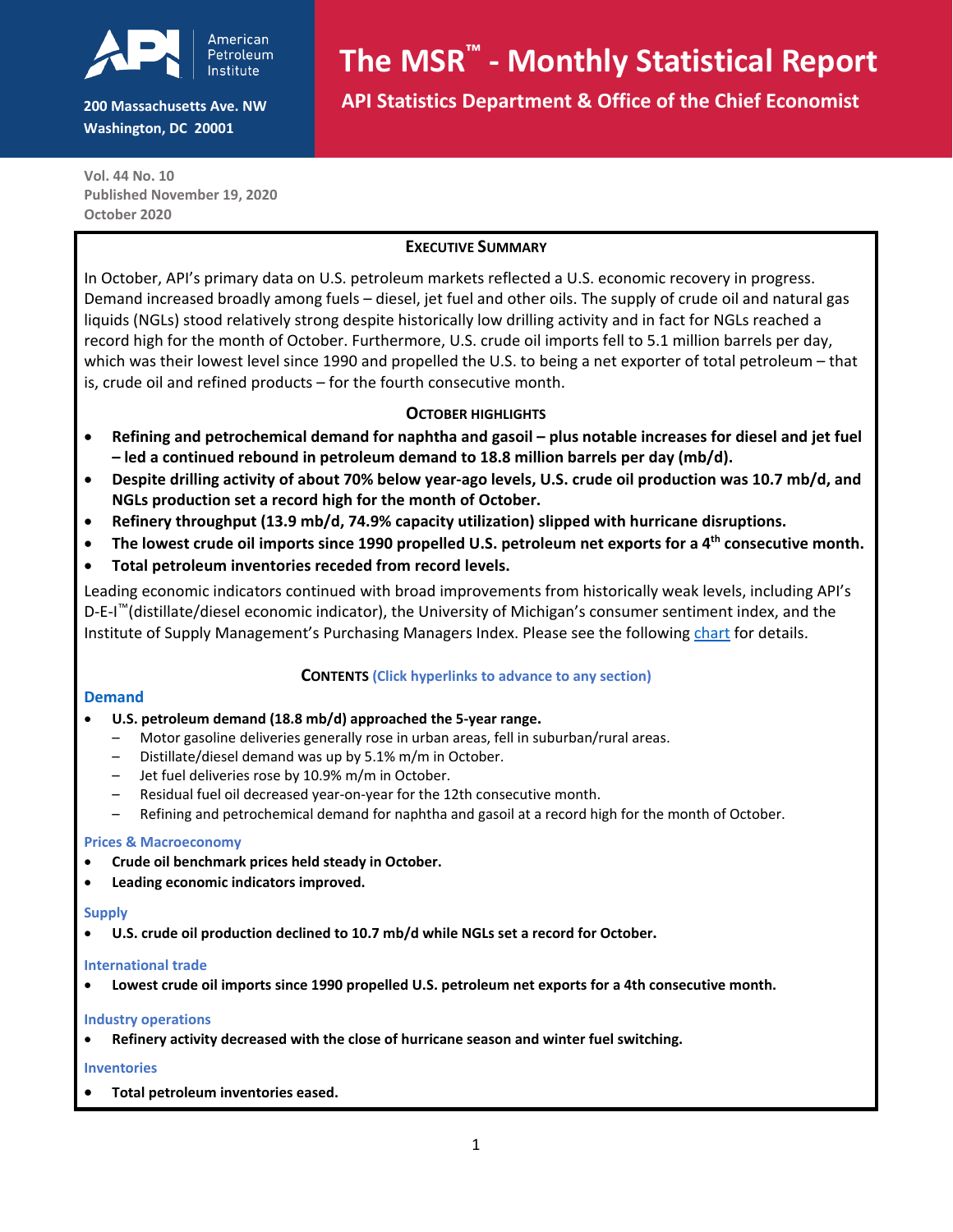

**200 Massachusetts Ave. NW Washington, DC 20001**

# **The MSR™ - Monthly Statistical Report**

 **API Statistics Department & Office of the Chief Economist**

**Vol. 44 No. 10 Published November 19, 2020 October 2020**

#### **EXECUTIVE SUMMARY**

In October, API's primary data on U.S. petroleum markets reflected a U.S. economic recovery in progress. Demand increased broadly among fuels – diesel, jet fuel and other oils. The supply of crude oil and natural gas liquids (NGLs) stood relatively strong despite historically low drilling activity and in fact for NGLs reached a record high for the month of October. Furthermore, U.S. crude oil imports fell to 5.1 million barrels per day, which was their lowest level since 1990 and propelled the U.S. to being a net exporter of total petroleum – that is, crude oil and refined products – for the fourth consecutive month.

#### **OCTOBER HIGHLIGHTS**

- **Refining and petrochemical demand for naphtha and gasoil – plus notable increases for diesel and jet fuel – led a continued rebound in petroleum demand to 18.8 million barrels per day (mb/d).**
- **Despite drilling activity of about 70% below year-ago levels, U.S. crude oil production was 10.7 mb/d, and NGLs production set a record high for the month of October.**
- **Refinery throughput (13.9 mb/d, 74.9% capacity utilization) slipped with hurricane disruptions.**
- The lowest crude oil imports since 1990 propelled U.S. petroleum net exports for a 4<sup>th</sup> consecutive month.
- **Total petroleum inventories receded from record levels.**

Leading economic indicators continued with broad improvements from historically weak levels, including API's D-E-I<sup>™</sup>(distillate/diesel economic indicator), the University of Michigan's consumer sentiment index, and the Instituteof Supply Management's Purchasing Managers Index. Please see the following *[chart](#page-0-0)* for details.

#### **CONTENTS (Click hyperlinks to advance to any section)**

#### [Demand](#page-1-0)

- **[U.S. petroleum demand \(18.8 mb/d\) approached the 5-year range.](#page-1-0)**
	- Motor gasoline [deliveries generally rose in urban areas, fell in suburban/rural areas.](#page-1-1)
	- [Distillate/diesel demand was up by 5.1% m/m in October.](#page-1-2)
	- $-$  [Jet fuel deliveries rose by 10.9% m/m in October.](#page-2-0)
	- [Residual fuel oil decreased year-on-year for the 12th consecutive month.](#page-2-1)
	- Refining [and petrochemical demand for naphtha and gasoil at a record high for the month of October.](#page-2-2)

#### **22Th** [Prices & Macroeconomy](#page-2-3)

- **[Crude oil benchmark prices held steady in October.](#page-2-3)**
- **[Leading economic indicators improved.](#page-3-0)**

#### *32T***[Supply](#page-3-1)***32T*

• **U.S. [crude oil production declined to 10.7 mb/d while NGLs set a record for October.](#page-3-1)**

#### *<u>International</u>* trade

• **[Lowest crude oil imports since 1990 propelled U.S. petroleum net exports for a 4th consecutive month.](#page-3-2)**

#### *32Th dustry operations*

• *32T***[Refinery activity decreased with the close of hurricane season and winter fuel switching.](#page-4-0)**

#### *32T***[Inventories](#page-4-1)**

<span id="page-0-0"></span> $37$  To[tal petroleum inventories eased](#page-4-1)[.](#page-4-1)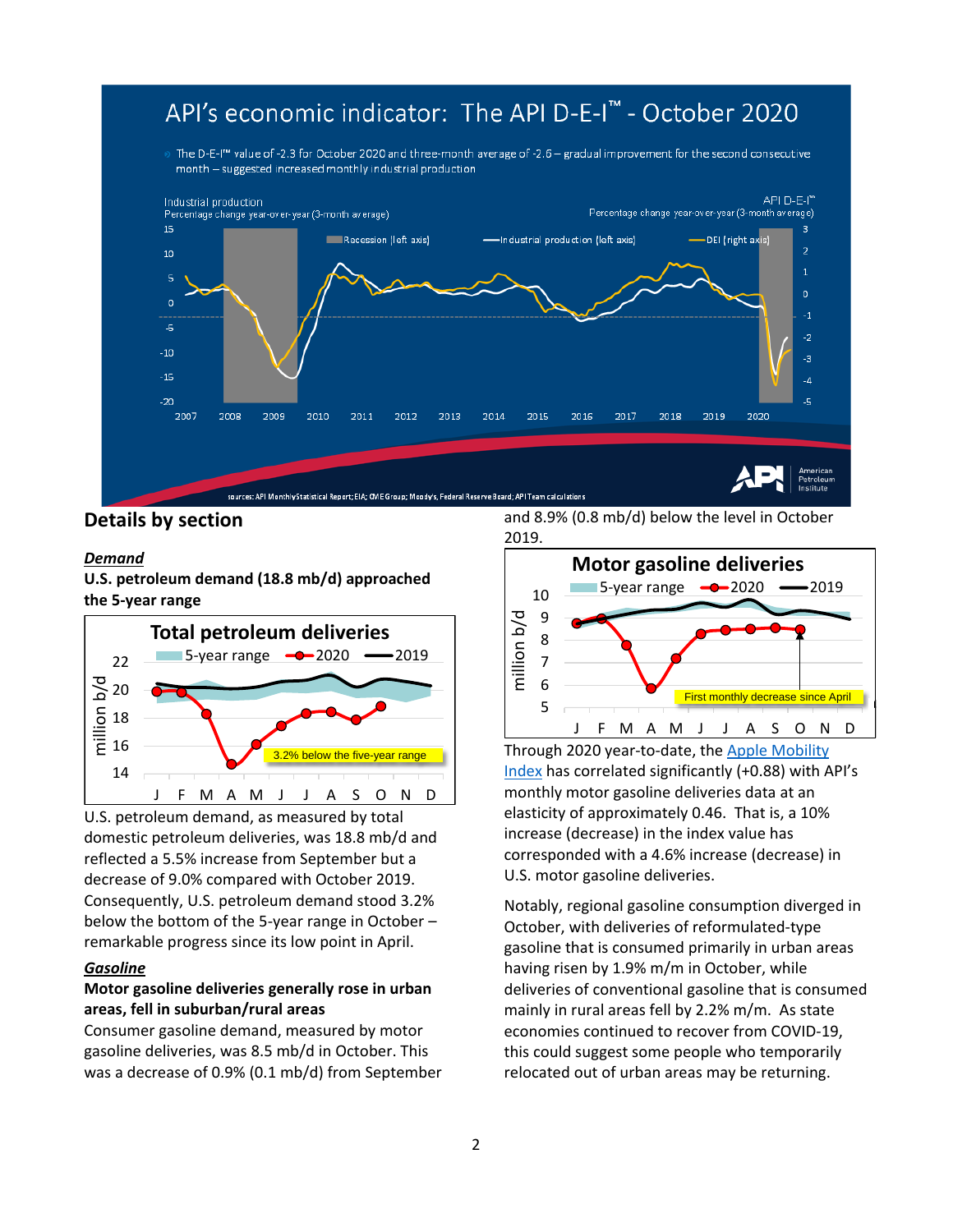## API's economic indicator: The API D-E-I™ - October 2020

The D-E-I<sup>m</sup> value of -2.3 for October 2020 and three-month average of -2.6 - gradual improvement for the second consecutive month - suggested increased monthly industrial production



**Details by section**

#### <span id="page-1-0"></span>*Demand*

**U.S. petroleum demand (18.8 mb/d) approached the 5-year range**



U.S. petroleum demand, as measured by total domestic petroleum deliveries, was 18.8 mb/d and reflected a 5.5% increase from September but a decrease of 9.0% compared with October 2019. Consequently, U.S. petroleum demand stood 3.2% below the bottom of the 5-year range in October – remarkable progress since its low point in April.

#### <span id="page-1-1"></span>*Gasoline*

#### **Motor gasoline deliveries generally rose in urban areas, fell in suburban/rural areas**

Consumer gasoline demand, measured by motor gasoline deliveries, was 8.5 mb/d in October. This was a decrease of 0.9% (0.1 mb/d) from September and 8.9% (0.8 mb/d) below the level in October 2019.



Through 2020 year-to-date, the *Apple Mobility* [Index](https://covid19.apple.com/mobility) has correlated significantly (+0.88) with API's monthly motor gasoline deliveries data at an elasticity of approximately 0.46. That is, a 10% increase (decrease) in the index value has corresponded with a 4.6% increase (decrease) in U.S. motor gasoline deliveries.

<span id="page-1-2"></span>Notably, regional gasoline consumption diverged in October, with deliveries of reformulated-type gasoline that is consumed primarily in urban areas having risen by 1.9% m/m in October, while deliveries of conventional gasoline that is consumed mainly in rural areas fell by 2.2% m/m. As state economies continued to recover from COVID-19, this could suggest some people who temporarily relocated out of urban areas may be returning.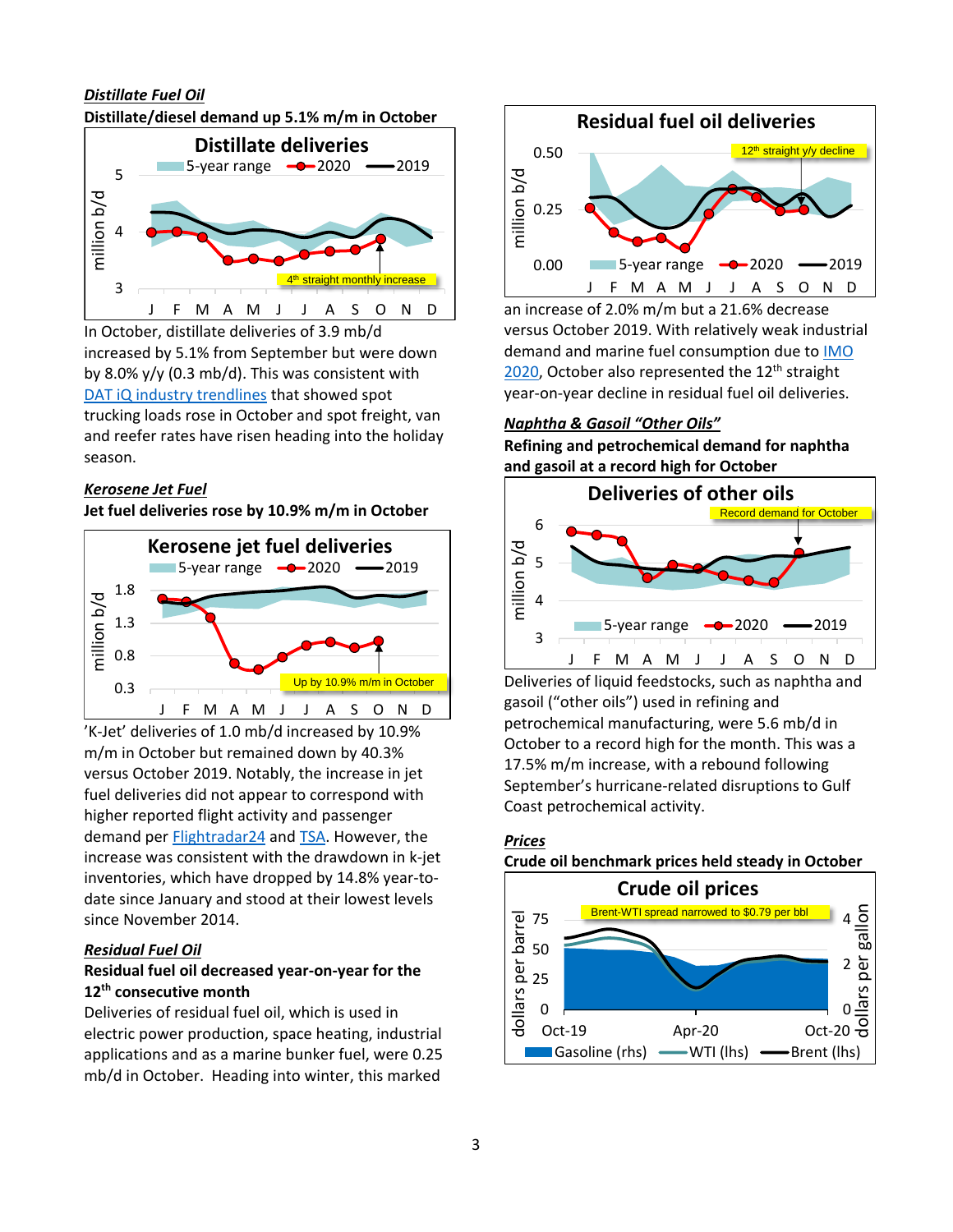#### *Distillate Fuel Oil* **Distillate/diesel demand up 5.1% m/m in October**



In October, distillate deliveries of 3.9 mb/d increased by 5.1% from September but were down by 8.0% y/y (0.3 mb/d). This was consistent with *DAT* iQ industry trendlines that showed spot trucking loads rose in October and spot freight, van and reefer rates have risen heading into the holiday season.

#### *Kerosene Jet Fuel*

**Jet fuel deliveries rose by 10.9% m/m in October**



'K-Jet' deliveries of 1.0 mb/d increased by 10.9% m/m in October but remained down by 40.3% versus October 2019. Notably, the increase in jet fuel deliveries did not appear to correspond with higher reported flight activity and passenger demand per [Flightradar24](https://www.flightradar24.com/) and **[TSA](https://www.tsa.gov/coronavirus/passenger-throughput)**. However, the increase was consistent with the drawdown in k-jet inventories, which have dropped by 14.8% year-todate since January and stood at their lowest levels since November 2014.

#### *Residual Fuel Oil*

#### **Residual fuel oil decreased year-on-year for the 12***<sup>P</sup>* **th***<sup>P</sup>* **consecutive month**

Deliveries of residual fuel oil, which is used in electric power production, space heating, industrial applications and as a marine bunker fuel, were 0.25 mb/d in October. Heading into winter, this marked

<span id="page-2-0"></span>

an increase of 2.0% m/m but a 21.6% decrease versus October 2019. With relatively weak industrial demand and marine fuel consumption due to *IMO* [2020](http://www.imo.org/en/MediaCentre/HotTopics/Pages/Sulphur-2020.aspx), October also represented the 12<sup>th</sup> straight year-on-year decline in residual fuel oil deliveries.

#### <span id="page-2-2"></span>*Naphtha & Gasoil "Other Oils"*

**Refining and petrochemical demand for naphtha and gasoil at a record high for October**



Deliveries of liquid feedstocks, such as naphtha and gasoil ("other oils") used in refining and petrochemical manufacturing, were 5.6 mb/d in October to a record high for the month. This was a 17.5% m/m increase, with a rebound following September's hurricane-related disruptions to Gulf Coast petrochemical activity.

<span id="page-2-3"></span><span id="page-2-1"></span>

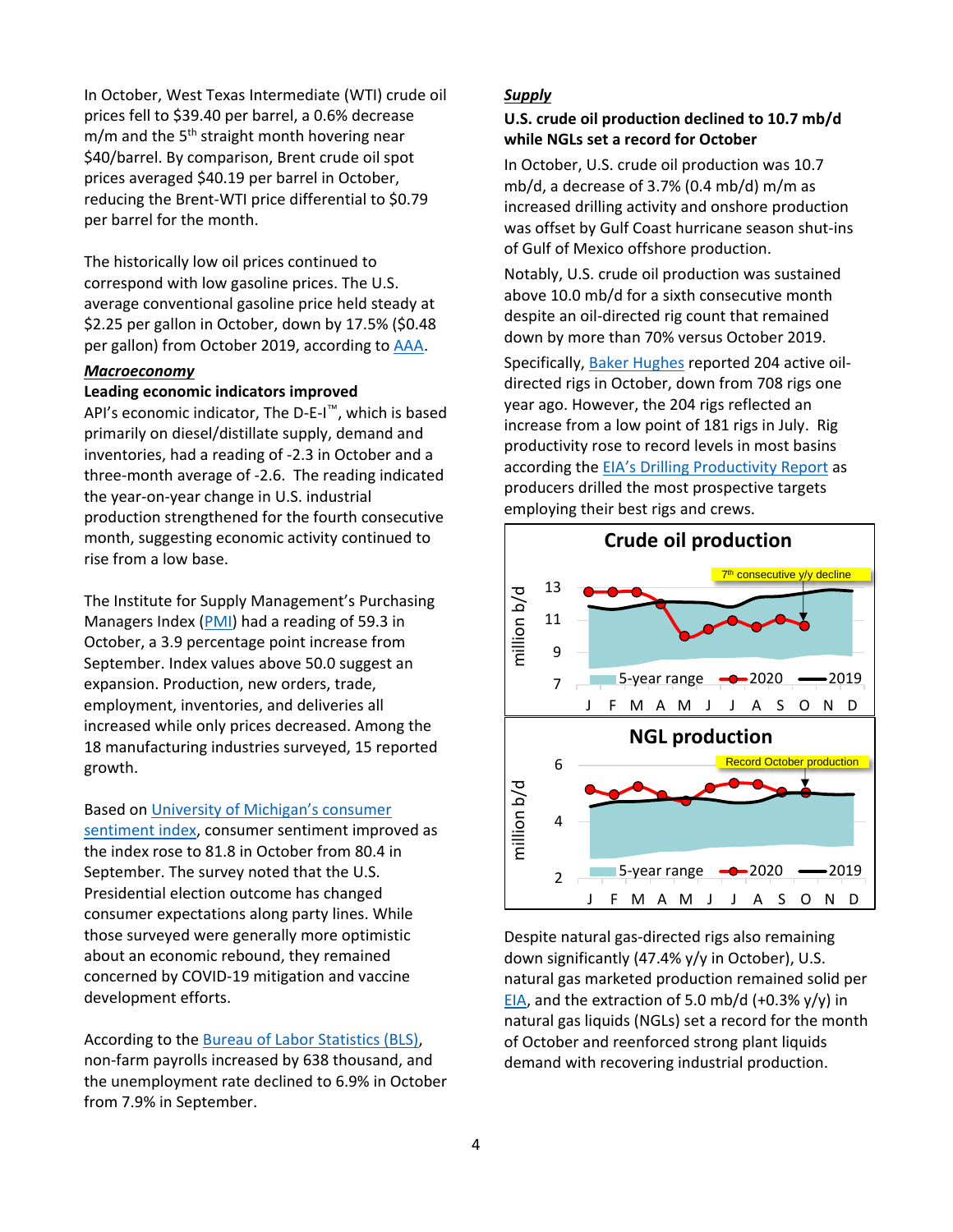In October, West Texas Intermediate (WTI) crude oil prices fell to \$39.40 per barrel, a 0.6% decrease m/m and the 5<sup>th</sup> straight month hovering near \$40/barrel. By comparison, Brent crude oil spot prices averaged \$40.19 per barrel in October, reducing the Brent-WTI price differential to \$0.79 per barrel for the month.

The historically low oil prices continued to correspond with low gasoline prices. The U.S. average conventional gasoline price held steady at \$2.25 per gallon in October, down by 17.5% (\$0.48 pergallon) from October 2019, according to [AAA](https://gasprices.aaa.com/).

#### <span id="page-3-0"></span>*Macroeconomy*

#### **Leading economic indicators improved**

API's economic indicator, The D-E-I<sup>™</sup>, which is based primarily on diesel/distillate supply, demand and inventories, had a reading of -2.3 in October and a three-month average of -2.6. The reading indicated the year-on-year change in U.S. industrial production strengthened for the fourth consecutive month, suggesting economic activity continued to rise from a low base.

The Institute for Supply Management's Purchasing Managers Index ([PMI](https://www.ismworld.org/supply-management-news-and-reports/reports/ism-report-on-business/pmi/september/)) had a reading of 59.3 in October, a 3.9 percentage point increase from September. Index values above 50.0 suggest an expansion. Production, new orders, trade, employment, inventories, and deliveries all increased while only prices decreased. Among the 18 manufacturing industries surveyed, 15 reported growth.

Based on *University* of Michigan's consumer

[sentiment index](http://www.sca.isr.umich.edu/), consumer sentiment improved as the index rose to 81.8 in October from 80.4 in September. The survey noted that the U.S. Presidential election outcome has changed consumer expectations along party lines. While those surveyed were generally more optimistic about an economic rebound, they remained concerned by COVID-19 mitigation and vaccine development efforts.

According to the *[Bureau of Labor Statistics \(BLS\)](https://www.bls.gov/)*, non-farm payrolls increased by 638 thousand, and the unemployment rate declined to 6.9% in October from 7.9% in September.

#### <span id="page-3-1"></span>*Supply*

#### **U.S. crude oil production declined to 10.7 mb/d while NGLs set a record for October**

In October, U.S. crude oil production was 10.7 mb/d, a decrease of 3.7% (0.4 mb/d) m/m as increased drilling activity and onshore production was offset by Gulf Coast hurricane season shut-ins of Gulf of Mexico offshore production.

Notably, U.S. crude oil production was sustained above 10.0 mb/d for a sixth consecutive month despite an oil-directed rig count that remained down by more than 70% versus October 2019.

Specifically, [Baker Hughes](https://rigcount.bakerhughes.com/na-rig-count) reported 204 active oildirected rigs in October, down from 708 rigs one year ago. However, the 204 rigs reflected an increase from a low point of 181 rigs in July. Rig productivity rose to record levels in most basins according the *[EIA's](https://www.eia.gov/petroleum/drilling/) [Drilling Productivity Report](https://www.eia.gov/petroleum/drilling/)* as producers drilled the most prospective targets employing their best rigs and crews.



<span id="page-3-2"></span>Despite natural gas-directed rigs also remaining down significantly (47.4% y/y in October), U.S. natural gas marketed production remained solid per *[EIA](https://www.eia.gov/naturalgas/weekly/)*, and the extraction of 5.0 mb/d (+0.3% y/y) in natural gas liquids (NGLs) set a record for the month of October and reenforced strong plant liquids demand with recovering industrial production.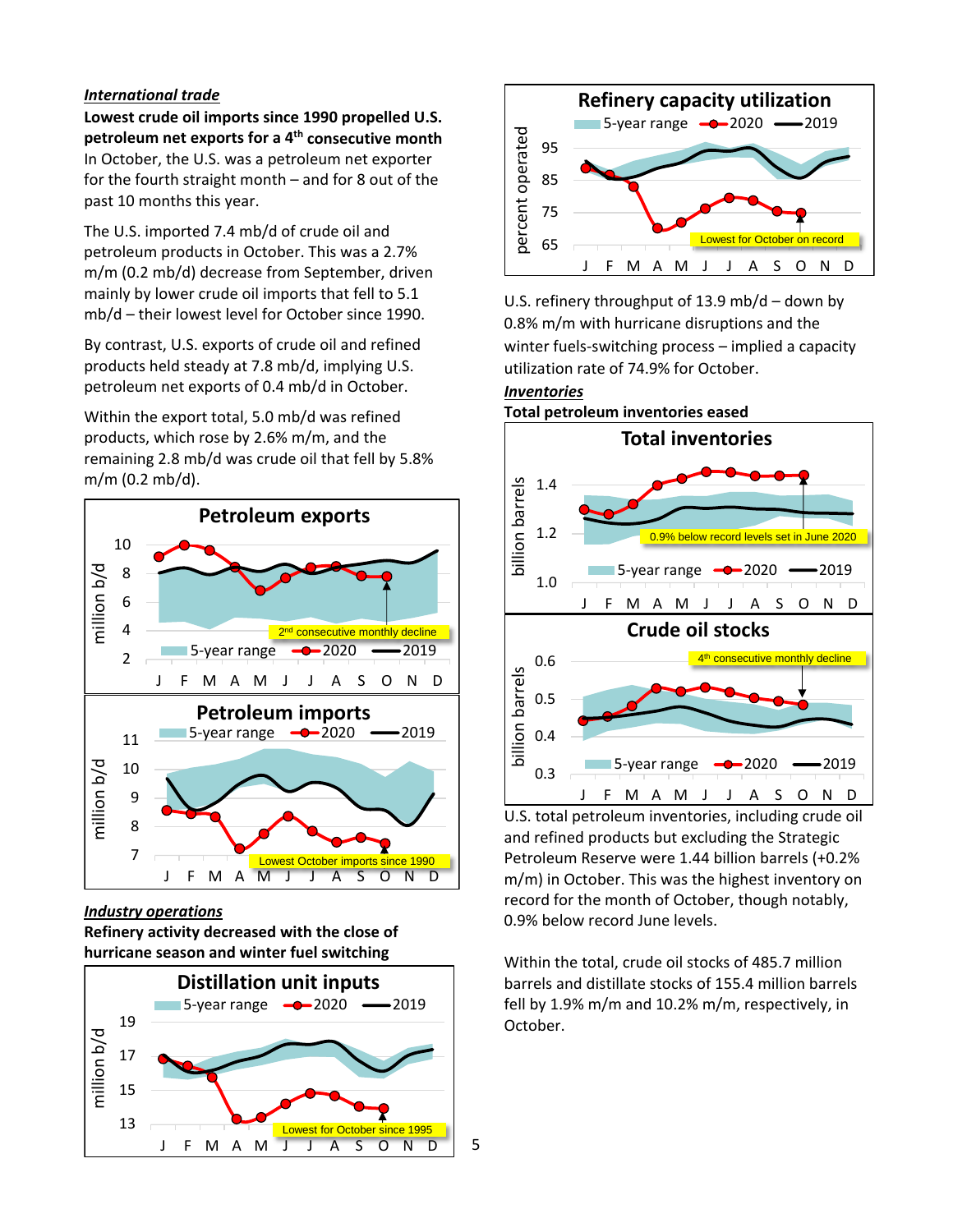#### *International trade*

**Lowest crude oil imports since 1990 propelled U.S. petroleum net exports for a 4<sup>th</sup> consecutive month** In October, the U.S. was a petroleum net exporter for the fourth straight month – and for 8 out of the past 10 months this year.

The U.S. imported 7.4 mb/d of crude oil and petroleum products in October. This was a 2.7% m/m (0.2 mb/d) decrease from September, driven mainly by lower crude oil imports that fell to 5.1 mb/d – their lowest level for October since 1990.

By contrast, U.S. exports of crude oil and refined products held steady at 7.8 mb/d, implying U.S. petroleum net exports of 0.4 mb/d in October.

Within the export total, 5.0 mb/d was refined products, which rose by 2.6% m/m, and the remaining 2.8 mb/d was crude oil that fell by 5.8% m/m (0.2 mb/d).



<span id="page-4-0"></span>*Industry operations*

**Refinery activity decreased with the close of hurricane season and winter fuel switching**

<span id="page-4-1"></span>

5



U.S. refinery throughput of 13.9 mb/d – down by 0.8% m/m with hurricane disruptions and the winter fuels-switching process – implied a capacity utilization rate of 74.9% for October.

### *Inventories* **Total petroleum inventories eased**



U.S. total petroleum inventories, including crude oil and refined products but excluding the Strategic Petroleum Reserve were 1.44 billion barrels (+0.2% m/m) in October. This was the highest inventory on record for the month of October, though notably, 0.9% below record June levels.

Within the total, crude oil stocks of 485.7 million barrels and distillate stocks of 155.4 million barrels fell by 1.9% m/m and 10.2% m/m, respectively, in October.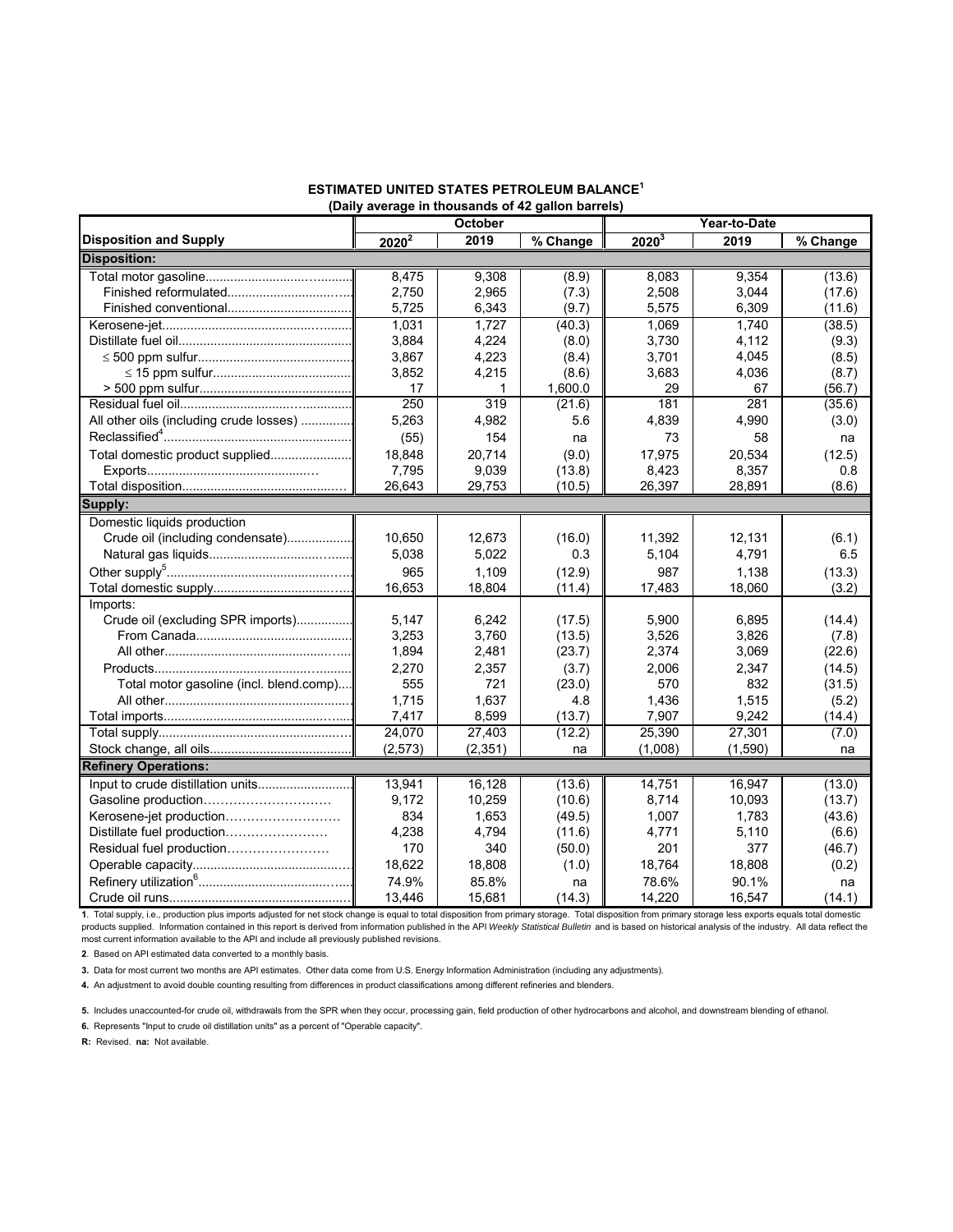#### **ESTIMATED UNITED STATES PETROLEUM BALANCE1 (Daily average in thousands of 42 gallon barrels)**

|                                         | October  |          |          | Year-to-Date |         |          |  |  |  |  |  |
|-----------------------------------------|----------|----------|----------|--------------|---------|----------|--|--|--|--|--|
| <b>Disposition and Supply</b>           | $2020^2$ | 2019     | % Change | $2020^{3}$   | 2019    | % Change |  |  |  |  |  |
| <b>Disposition:</b>                     |          |          |          |              |         |          |  |  |  |  |  |
|                                         | 8,475    | 9,308    | (8.9)    | 8,083        | 9,354   | (13.6)   |  |  |  |  |  |
|                                         | 2,750    | 2,965    | (7.3)    | 2,508        | 3,044   | (17.6)   |  |  |  |  |  |
|                                         | 5,725    | 6,343    | (9.7)    | 5,575        | 6,309   | (11.6)   |  |  |  |  |  |
|                                         | 1,031    | 1.727    | (40.3)   | 1.069        | 1.740   | (38.5)   |  |  |  |  |  |
|                                         | 3,884    | 4,224    | (8.0)    | 3,730        | 4,112   | (9.3)    |  |  |  |  |  |
|                                         | 3,867    | 4,223    | (8.4)    | 3,701        | 4,045   | (8.5)    |  |  |  |  |  |
|                                         | 3,852    | 4,215    | (8.6)    | 3,683        | 4,036   | (8.7)    |  |  |  |  |  |
|                                         | 17       | 1        | 1,600.0  | 29           | 67      | (56.7)   |  |  |  |  |  |
|                                         | 250      | 319      | (21.6)   | 181          | 281     | (35.6)   |  |  |  |  |  |
| All other oils (including crude losses) | 5,263    | 4,982    | 5.6      | 4,839        | 4,990   | (3.0)    |  |  |  |  |  |
|                                         | (55)     | 154      | na       | 73           | 58      | na       |  |  |  |  |  |
| Total domestic product supplied         | 18,848   | 20,714   | (9.0)    | 17,975       | 20,534  | (12.5)   |  |  |  |  |  |
|                                         | 7,795    | 9,039    | (13.8)   | 8,423        | 8,357   | 0.8      |  |  |  |  |  |
|                                         | 26,643   | 29,753   | (10.5)   | 26,397       | 28,891  | (8.6)    |  |  |  |  |  |
| Supply:                                 |          |          |          |              |         |          |  |  |  |  |  |
| Domestic liquids production             |          |          |          |              |         |          |  |  |  |  |  |
| Crude oil (including condensate)        | 10.650   | 12,673   | (16.0)   | 11,392       | 12,131  | (6.1)    |  |  |  |  |  |
|                                         | 5,038    | 5,022    | 0.3      | 5,104        | 4,791   | 6.5      |  |  |  |  |  |
|                                         | 965      | 1,109    | (12.9)   | 987          | 1,138   | (13.3)   |  |  |  |  |  |
|                                         | 16,653   | 18,804   | (11.4)   | 17,483       | 18,060  | (3.2)    |  |  |  |  |  |
| Imports:                                |          |          |          |              |         |          |  |  |  |  |  |
| Crude oil (excluding SPR imports)       | 5.147    | 6.242    | (17.5)   | 5,900        | 6,895   | (14.4)   |  |  |  |  |  |
|                                         | 3,253    | 3,760    | (13.5)   | 3,526        | 3,826   | (7.8)    |  |  |  |  |  |
|                                         | 1,894    | 2,481    | (23.7)   | 2,374        | 3,069   | (22.6)   |  |  |  |  |  |
|                                         | 2,270    | 2,357    | (3.7)    | 2,006        | 2,347   | (14.5)   |  |  |  |  |  |
| Total motor gasoline (incl. blend.comp) | 555      | 721      | (23.0)   | 570          | 832     | (31.5)   |  |  |  |  |  |
|                                         | 1,715    | 1,637    | 4.8      | 1,436        | 1,515   | (5.2)    |  |  |  |  |  |
|                                         | 7,417    | 8,599    | (13.7)   | 7,907        | 9,242   | (14.4)   |  |  |  |  |  |
|                                         | 24,070   | 27,403   | (12.2)   | 25,390       | 27,301  | (7.0)    |  |  |  |  |  |
|                                         | (2,573)  | (2, 351) | na       | (1,008)      | (1,590) | na       |  |  |  |  |  |
| <b>Refinery Operations:</b>             |          |          |          |              |         |          |  |  |  |  |  |
| Input to crude distillation units       | 13,941   | 16,128   | (13.6)   | 14,751       | 16,947  | (13.0)   |  |  |  |  |  |
| Gasoline production                     | 9,172    | 10,259   | (10.6)   | 8,714        | 10,093  | (13.7)   |  |  |  |  |  |
| Kerosene-jet production                 | 834      | 1,653    | (49.5)   | 1,007        | 1,783   | (43.6)   |  |  |  |  |  |
| Distillate fuel production              | 4,238    | 4,794    | (11.6)   | 4,771        | 5,110   | (6.6)    |  |  |  |  |  |
| Residual fuel production                | 170      | 340      | (50.0)   | 201          | 377     | (46.7)   |  |  |  |  |  |
|                                         | 18,622   | 18,808   | (1.0)    | 18,764       | 18,808  | (0.2)    |  |  |  |  |  |
|                                         | 74.9%    | 85.8%    | na       | 78.6%        | 90.1%   | na       |  |  |  |  |  |
|                                         | 13,446   | 15,681   | (14.3)   | 14,220       | 16,547  | (14.1)   |  |  |  |  |  |

**1**. Total supply, i.e., production plus imports adjusted for net stock change is equal to total disposition from primary storage. Total disposition from primary storage less exports equals total domestic products supplied. Information contained in this report is derived from information published in the API *Weekly Statistical Bulletin* and is based on historical analysis of the industry. All data reflect the most current information available to the API and include all previously published revisions.

**2**. Based on API estimated data converted to a monthly basis.

**3.** Data for most current two months are API estimates. Other data come from U.S. Energy Information Administration (including any adjustments).

**4.** An adjustment to avoid double counting resulting from differences in product classifications among different refineries and blenders.

**5.** Includes unaccounted-for crude oil, withdrawals from the SPR when they occur, processing gain, field production of other hydrocarbons and alcohol, and downstream blending of ethanol.

**6.** Represents "Input to crude oil distillation units" as a percent of "Operable capacity".

**R:** Revised. **na:** Not available.